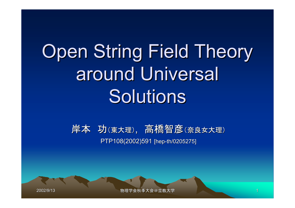# Open String Field Theory around Universal Solutions

#### 岸本 功(東大理), 高橋智彦(奈良女大理) PTP108(2002)591 [hep-th/0205275]

2002/9/13

物理学会秋季大会@立教大学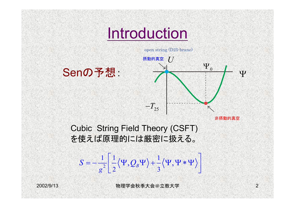

2  $1 \mid 1 \mid ... \mid 1$ 2 3  $S = -\frac{1}{g^2} \Biggl[ \frac{1}{2} \langle \Psi, Q_B \Psi \rangle + \frac{1}{3} \langle \Psi, \Psi * \Psi \rangle \Biggr]$ 

2002/9/13

物理学会秋季大会@立教大学 2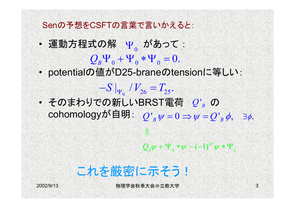Senの予想をCSFTの言葉で言いかえると:

- ï• 運動方程式の解 γ<sub>。</sub>があって :  $Q_{B}^{\mathstrut} \Psi_{0}^{\mathstrut} + \Psi_{0}^{\mathstrut} * \Psi_{0}^{\mathstrut} = 0.$
- ïpotentialの値がD25-braneのtensionに等しい:

 $-S|_{\Psi_{0}}/V_{26}=T_{25}.$ 

ï $\bullet$  そのまわりでの新しいBRST電荷  $\left\langle Q\right\rangle _{B}$  の cohomologyが自明:  $Q'_{\nu}\psi = 0 \Rightarrow \psi$  $_0$  ' 26  $-25$  $Q^{'}{}_{\!B}\,\psi = 0 \Longrightarrow \psi = Q^{'}{}_{\!B}\,\phi, \quad$   $\exists\phi.$ 

!

 $|\psi|$  $\mathcal{Q}_{_{B}}\psi+\Psi_{_{0}}*\psi-(-1)^{\psi|}\psi*\Psi_{_{0}}$ 

# これを厳密に示そう!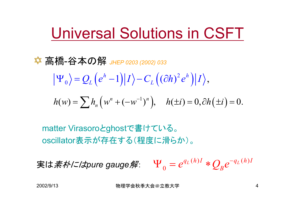# Universal Solutions in CSFT

高橋-谷本の解 *JHEP 0203 (2002) 033*

$$
\left|\Psi_{0}\right\rangle = Q_{L}\left(e^{h}-1\right)\left|I\right\rangle - C_{L}\left((\partial h)^{2}e^{h}\right)\left|I\right\rangle,
$$

$$
h(w) = \sum h_n (w^n + (-w^{-1})^n), \quad h(\pm i) = 0, \partial h(\pm i) = 0.
$$

matter Virasoroとghostで書けている。 oscillator表示が存在する(程度に滑らか)。

実は素朴には*pure gauge*解:  $(h)I \bigstar \bigcap e^{-q_L(h)}$ 0 $q_L(h)I \triangleleft q_L(h)I$  $\Psi_{0} = e^{q_L(n)I} * Q_{B}e^{-I}$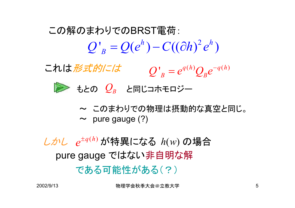$Q'_{B} = Q(e^{h}) - C((\partial h)^{2}e^{h})$ この解のまわりでのBRST電荷:

 $Q'_{B} = e^{q(h)}Q_{B}e^{-q(h)}$ これは形式的には



- もとの  $\mathcal{Q}_B$  と同じコホモロジー
- $\boldsymbol{\sim}$  このまわりでの物理は摂動的な真空と同じ。  $\sim$  pure gauge (?)

 $L$  $\mathcal{L}$  $e^{\pm q(h)}$  が特異になる  $h(w)$  の場合 pure gauge ではない非自明な解 である可能性がある(?)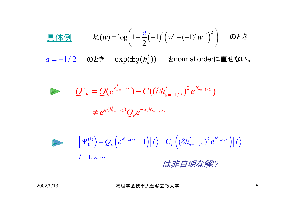$$
\underline{\mathbb{R}} \, \underline{\mathbb{M}} \, \underline{\mathbb{M}} \qquad h_a^l(w) = \log \bigg( 1 - \frac{a}{2} (-1)^l \big( w^l - (-1)^l w^{-l} \big)^2 \bigg) \qquad \mathcal{D} \, \underline{\mathcal{E}} \, \underline{\mathbb{M}} \, \bigg( \underline{\mathbb{M}} \, \underline{\mathbb{M}} \, \underline{\mathbb{M}} \, \underline{\mathbb{M}} \, \underline{\mathbb{M}} \, \underline{\mathbb{M}} \, \underline{\mathbb{M}} \, \underline{\mathbb{M}} \, \underline{\mathbb{M}} \, \underline{\mathbb{M}} \, \underline{\mathbb{M}} \, \underline{\mathbb{M}} \, \underline{\mathbb{M}} \, \underline{\mathbb{M}} \, \underline{\mathbb{M}} \, \underline{\mathbb{M}} \, \underline{\mathbb{M}} \, \underline{\mathbb{M}} \, \underline{\mathbb{M}} \, \underline{\mathbb{M}} \, \underline{\mathbb{M}} \, \underline{\mathbb{M}} \, \underline{\mathbb{M}} \, \underline{\mathbb{M}} \, \underline{\mathbb{M}} \, \underline{\mathbb{M}} \, \underline{\mathbb{M}} \, \underline{\mathbb{M}} \, \underline{\mathbb{M}} \, \underline{\mathbb{M}} \, \underline{\mathbb{M}} \, \underline{\mathbb{M}} \, \underline{\mathbb{M}} \, \underline{\mathbb{M}} \, \underline{\mathbb{M}} \, \underline{\mathbb{M}} \, \underline{\mathbb{M}} \, \underline{\mathbb{M}} \, \underline{\mathbb{M}} \, \underline{\mathbb{M}} \, \underline{\mathbb{M}} \, \underline{\mathbb{M}} \, \underline{\mathbb{M}} \, \underline{\mathbb{M}} \, \underline{\mathbb{M}} \, \underline{\mathbb{M}} \, \underline{\mathbb{M}} \, \underline{\mathbb{M}} \, \underline{\mathbb{M}} \, \underline{\mathbb{M}} \, \underline{\mathbb{M}} \, \underline{\mathbb{M}} \, \underline{\mathbb{M}} \, \underline{\mathbb{M}} \, \underline{\mathbb{M}} \, \underline{\mathbb{M}} \, \underline{\mathbb{M}} \, \underline{\mathbb{M}} \, \underline{\mathbb{M}} \, \underline{\mathbb{M}} \, \underline{\mathbb{M}} \, \underline{\mathbb{M}} \, \underline{\mathbb{M}} \, \underline{\mathbb{M}} \, \underline{\math
$$

 $a = -1/2$  のとき  $\exp (\pm q ( h_a^l))$  をnormal orderに直せない。

$$
Q'_B = Q(e^{h'_{a=-1/2}}) - C((\partial h'_{a=-1/2})^2 e^{h'_{a=-1/2}})
$$

$$
\neq e^{q(h_{a=-1/2}^l)}Q_{B}e^{-q(h_{a=-1/2}^l)}
$$

$$
\left| \Psi_0^{(l)} \right\rangle = Q_L \left( e^{h_{a=-1/2}^l} - 1 \right) \left| I \right\rangle - C_L \left( \left( \partial h_{a=-1/2}^l \right)^2 e^{h_{a=-1/2}^l} \right) \left| I \right\rangle
$$
  
  $l = 1, 2, \cdots$  
$$
\left| \mathcal{J} \right| \neq \mathcal{J} \neq \mathcal{J} \neq \mathcal{J}?
$$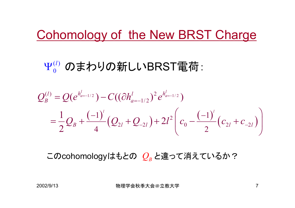# Cohomology of the New BRST Charge

### $\Psi_0^{(l)}$  のまわりの新しいBRST電荷:

$$
Q_B^{(l)} = Q(e^{h_{a=-1/2}^l}) - C((\partial h_{a=-1/2}^l)^2 e^{h_{a=-1/2}^l})
$$
  
=  $\frac{1}{2}Q_B + \frac{(-1)^l}{4}(Q_{2l} + Q_{-2l}) + 2l^2(c_0 - \frac{(-1)^l}{2}(c_{2l} + c_{-2l}))$ 

このcohomologyはもとの *Q<sub>B</sub>* と違って消えているか?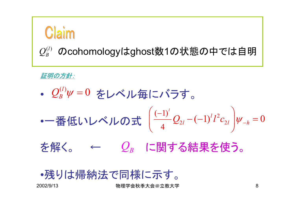

#### $Q_{B}^{(l)}$  のcohomologyはghost数1の状態の中では自明

証明の方針:

ï•  $\mathcal{Q}_{B}^{(l)} \psi = 0$  をレベル毎にバラす。

- 
$$
\frac{1}{2}
$$
  $(\frac{1}{2} \mathbf{L} \mathbf{L} \mathbf{L} \mathbf{L} \mathbf{L} \mathbf{L} \mathbf{L} \mathbf{L} \mathbf{L} \mathbf{L} \mathbf{L} \mathbf{L} \mathbf{L} \mathbf{L} \mathbf{L} \mathbf{L} \mathbf{L} \mathbf{L} \mathbf{L} \mathbf{L} \mathbf{L} \mathbf{L} \mathbf{L} \mathbf{L} \mathbf{L} \mathbf{L} \mathbf{L} \mathbf{L} \mathbf{L} \mathbf{L} \mathbf{L} \mathbf{L} \mathbf{L} \mathbf{L} \mathbf{L} \mathbf{L} \mathbf{L} \mathbf{L} \mathbf{L} \mathbf{L} \mathbf{L} \mathbf{L} \mathbf{L} \mathbf{L} \mathbf{L} \mathbf{L} \mathbf{L} \mathbf{L} \mathbf{L} \mathbf{L} \mathbf{L} \mathbf{L} \mathbf{L} \mathbf{L} \mathbf{L} \mathbf{L} \mathbf{L} \mathbf{L} \mathbf{L} \mathbf{L} \mathbf{L} \mathbf{L} \mathbf{L} \mathbf{L} \mathbf{L} \mathbf{L} \mathbf{L} \mathbf{L} \mathbf{L} \mathbf{L} \mathbf{L} \mathbf{L} \mathbf{L} \mathbf{L} \mathbf{L} \mathbf{L} \mathbf{L} \mathbf{L} \mathbf{L} \mathbf{L} \mathbf{L} \mathbf{L} \mathbf{L} \mathbf{L} \mathbf{L} \mathbf{L} \mathbf{L} \mathbf{L} \mathbf{L} \mathbf{L} \mathbf{L} \mathbf{L} \mathbf{L} \mathbf{L} \mathbf{L} \mathbf{L} \mathbf{L} \mathbf{L} \mathbf{L} \mathbf{L} \mathbf{L} \mathbf{L} \mathbf{L} \mathbf{L} \mathbf{L} \mathbf{L} \mathbf{L} \mathbf{L} \mathbf{L} \mathbf{L} \mathbf{L} \mathbf{L} \mathbf{L} \mathbf{L} \mathbf{L} \mathbf{L} \mathbf{L} \mathbf{L} \mathbf{L} \mathbf{L} \mathbf{L} \mathbf{L} \mathbf{L} \mathbf{L$ 

を解く。 ←  $\mathcal{Q}_{\scriptscriptstyle B}$  に関する結果を使う。

<sup>ï</sup>残りは帰納法で同様に示す。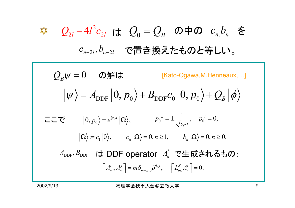*Q Q* <sup>0</sup> <sup>=</sup> *<sup>B</sup> <sup>n</sup> <sup>n</sup>* , <sup>は</sup> *<sup>c</sup> <sup>b</sup>* <sup>2</sup> <sup>2</sup> <sup>2</sup> <sup>4</sup> *Q <sup>l</sup> <sup>l</sup> <sup>l</sup>* <sup>−</sup> *<sup>c</sup>* の中の を *<sup>c</sup> b <sup>n</sup> l* +2 2 , *n*<sup>−</sup> *<sup>l</sup>* で置き換えたものと等しい。 0 *QB*ψ <sup>=</sup> DDF <sup>0</sup> DDF <sup>0</sup> <sup>0</sup> 0, 0, *A <sup>p</sup> <sup>B</sup> <sup>B</sup>* <sup>ψ</sup> <sup>=</sup> <sup>+</sup> *<sup>c</sup> <sup>p</sup>* <sup>+</sup> *Q* φ 00 0, , *ip <sup>x</sup> <sup>p</sup> <sup>e</sup>* <sup>=</sup> <sup>Ω</sup> 1 : 0 , 0, 1, 0, 0, *<sup>n</sup> <sup>n</sup>* <sup>Ω</sup> <sup>=</sup> *<sup>c</sup> <sup>c</sup>* <sup>Ω</sup> <sup>=</sup> *<sup>n</sup>* <sup>≥</sup> *b* <sup>Ω</sup> <sup>=</sup> *<sup>n</sup>* <sup>≥</sup> 0 012 ', 0, *<sup>i</sup> <sup>p</sup> <sup>p</sup>* α±= ± <sup>=</sup> , ,<sup>0</sup> , , , 0. *<sup>i</sup> <sup>j</sup> <sup>i</sup> <sup>j</sup> <sup>X</sup> <sup>i</sup> <sup>A</sup> <sup>A</sup> <sup>m</sup> <sup>n</sup> <sup>m</sup> <sup>m</sup> <sup>n</sup> Lm An* <sup>δ</sup> <sup>δ</sup> <sup>+</sup> <sup>=</sup> <sup>=</sup> の解は DDF DDF *A* , *<sup>B</sup>* ここでは DDF operator で生成されるもの: *<sup>i</sup> An* [Kato-Ogawa,M.Henneaux,Ö]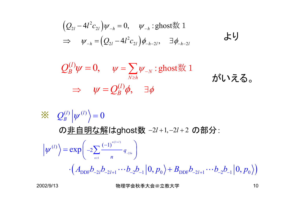$$
\left(\mathcal{Q}_{2l} - 4l^2 c_{2l}\right) \psi_{-h} = 0, \quad \psi_{-h} : \text{ghost} \# 1
$$
\n
$$
\Rightarrow \quad \psi_{-h} = \left(\mathcal{Q}_{2l} - 4l^2 c_{2l}\right) \phi_{-h-2l}, \quad \exists \phi_{-h-2l} \qquad \qquad \text{and}
$$

$$
Q_B^{(l)} \psi = 0, \quad \psi = \sum_{N \ge h} \psi_{-N} : \text{ghost} \nless 1 \qquad \text{first to } \vec{\lambda} \in \vec{\lambda}.
$$
\n
$$
\Rightarrow \quad \psi = Q_B^{(l)} \phi, \quad \exists \phi
$$

$$
\mathcal{L}_{B}^{(l)} \left| \psi^{(l)} \right\rangle = 0
$$
\n
$$
\mathcal{D} \mathbf{\underline{f}} \mathbf{\underline{f}} \mathbf{\underline{f}} \mathbf{\underline{f}} \mathbf{\underline{f}} \mathbf{\underline{f}} \mathbf{\underline{f}} \mathbf{\underline{f}} \mathbf{\underline{f}} \mathbf{\underline{f}} \mathbf{\underline{f}} \mathbf{\underline{f}} \mathbf{\underline{f}} \mathbf{\underline{f}} \mathbf{\underline{f}} \mathbf{\underline{f}} \mathbf{\underline{f}} \mathbf{\underline{f}} \mathbf{\underline{f}} \mathbf{\underline{f}} \mathbf{\underline{f}} \mathbf{\underline{f}} \mathbf{\underline{f}} \mathbf{\underline{f}} \mathbf{\underline{f}} \mathbf{\underline{f}} \mathbf{\underline{f}} \mathbf{\underline{f}} \mathbf{\underline{f}} \mathbf{\underline{f}} \mathbf{\underline{f}} \mathbf{\underline{f}} \mathbf{\underline{f}} \mathbf{\underline{f}} \mathbf{\underline{f}} \mathbf{\underline{f}} \mathbf{\underline{f}} \mathbf{\underline{f}} \mathbf{\underline{f}} \mathbf{\underline{f}} \mathbf{\underline{f}} \mathbf{\underline{f}} \mathbf{\underline{f}} \mathbf{\underline{f}} \mathbf{\underline{f}} \mathbf{\underline{f}} \mathbf{\underline{f}} \mathbf{\underline{f}} \mathbf{\underline{f}} \mathbf{\underline{f}} \mathbf{\underline{f}} \mathbf{\underline{f}} \mathbf{\underline{f}} \mathbf{\underline{f}} \mathbf{\underline{f}} \mathbf{\underline{f}} \mathbf{\underline{f}} \mathbf{\underline{f}} \mathbf{\underline{f}} \mathbf{\underline{f}} \mathbf{\underline{f}} \mathbf{\underline{f}} \mathbf{\underline{f}} \mathbf{\underline{f}} \mathbf{\underline{f}} \mathbf{\underline{f}} \mathbf{\underline{f}} \mathbf{\underline{f}} \mathbf{\underline{f}} \mathbf{\underline{f}} \mathbf{\underline{f}} \mathbf{\underline{f}} \mathbf{\underline{f}} \mathbf{\underline{f}} \mathbf{\underline{f}} \mathbf{\underline{f}} \mathbf{\underline{f}} \mathbf{\underline{f}} \mathbf{\underline{f}} \mathbf{\underline{f}} \mathbf{\underline{f}} \mathbf{\underline{f}} \mathbf{\underline{f}} \mathbf{\underline{f}} \mathbf{\underline{f}} \mathbf{\underline{f}} \mathbf{\underline{f}} \mathbf{\underline{f}} \mathbf{\underline{f}} \mathbf{\
$$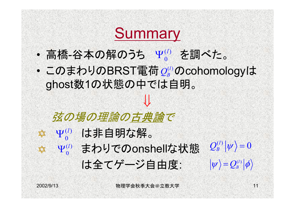# **Summary**

- 0 ・ 高橋-谷本の解のうち Ψ $_{0}^{\left( l\right) }$  を調べた。  $\pmb{0}$  $\Psi^{(l)}$
- ï・このまわりのBRST電荷 $\varrho_{\scriptscriptstyle B}^{\scriptscriptstyle (l)}$ のcohomologyは ghost数1の状態の中では自明。

⇓

## 弦の場の理論の古典論で

- $\alpha^{(l)}$  は非自明な解。  $\pmb{0}$  $\Psi^{(l)}$
- $\mathcal{L}^{(l)}_{\circ}$  まわりでのonshellな状態  $\mathcal{Q}^{(l)}_{\scriptscriptstyle{B}}|\psi\rangle\!=\!0$ (1) まわりでのonshellな状態  $\mathbb{X}$ 0
	- は全てゲージ自由度:

 $\left| \psi \right\rangle {\rm{ = }}\mathcal{Q}_{\scriptscriptstyle{B}}^{\scriptscriptstyle{(l)}}{\left| \phi \right\rangle }$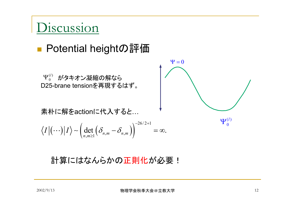## Discussion

#### ■ Potential heightの評価

 $_0^{\left( l \right)}$  がタキオン凝縮の解なら D25-brane tensionを再現するはず。  $\boldsymbol{0}$  $\Psi^{(l)}_{\scriptscriptstyle{0}}$ 

素朴に解をactionに代入すると...

$$
\langle I | (\cdots) | I \rangle \sim \left( \det_{n,m \geq 1} \left( \delta_{n,m} - \delta_{n,m} \right) \right)^{-26/2+1} = \infty.
$$

計算にはなんらかの正則化が必要!

 $\Psi=0$ 

 $\left( l\right)$ 0 $\Psi^{(l)}_{\scriptscriptstyle{\Omega}}$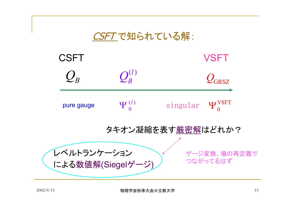